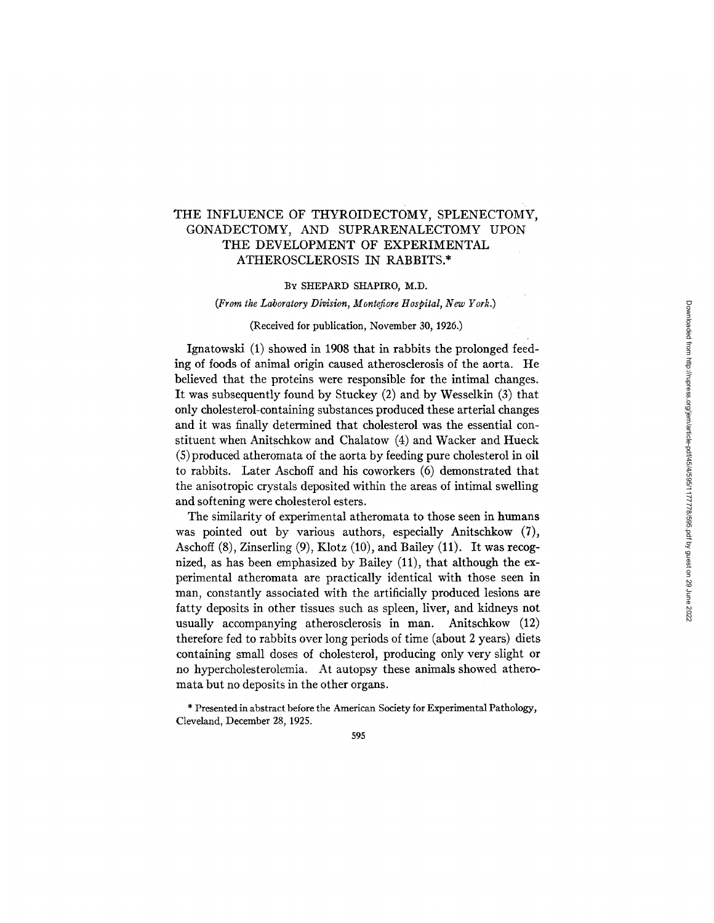# THE INFLUENCE OF THYROIDECTOMY, SPLENECTOMY, GONADECTOMY, AND SUPRARENALECTOMY UPON THE DEVELOPMENT OF EXPERIMENTAL ATHEROSCLEROSIS IN RABBITS.\*

#### BY SHEPARD SHAPIRO, M.D.

### *(From the Laboratory Division, Montefiore Hospital, New York.)*

### (Received for publication, November 30, 1926.)

Ignatowski (1) showed in 1908 that in rabbits the prolonged feeding of foods of animal origin caused atherosclerosis of the aorta. He believed that the proteins were responsible for the intimal changes. It was subsequently found by Stuckey (2) and by Wesselkin (3) that only cholesterol-containing substances produced these arterial changes and it was finally determined that cholesterol was the essential constituent when Anitschkow and Chalatow (4) and Wacker and Hueck (5) produced atheromata of the aorta by feeding pure cholesterol in oll to rabbits. Later Aschoff and his coworkers (6) demonstrated that the anisotropic crystals deposited within the areas of intimal swelling and softening were cholesterol esters.

The similarity of experimental atheromata to those seen in humans was pointed out by various authors, especially Anitschkow (7), Aschoff (8), Zinserling (9), Klotz (10), and Bailey (11). It was recognized, as has been emphasized by Bailey (11), that although the experimental atheromata are practically identical with those seen in man, constantly associated with the artificially produced lesions are fatty deposits in other tissues such as spleen, liver, and kidneys not usually accompanying atherosclerosis in man. Anitschkow (12) therefore fed to rabbits over long periods of time (about 2 years) diets containing small doses of cholesterol, producing only very slight or no hypercholesterolemia. At autopsy these animals showed atheromata but no deposits in the other organs.

\* Presented in abstract before the American Society for Experimental Pathology, Cleveland, December 28, 1925.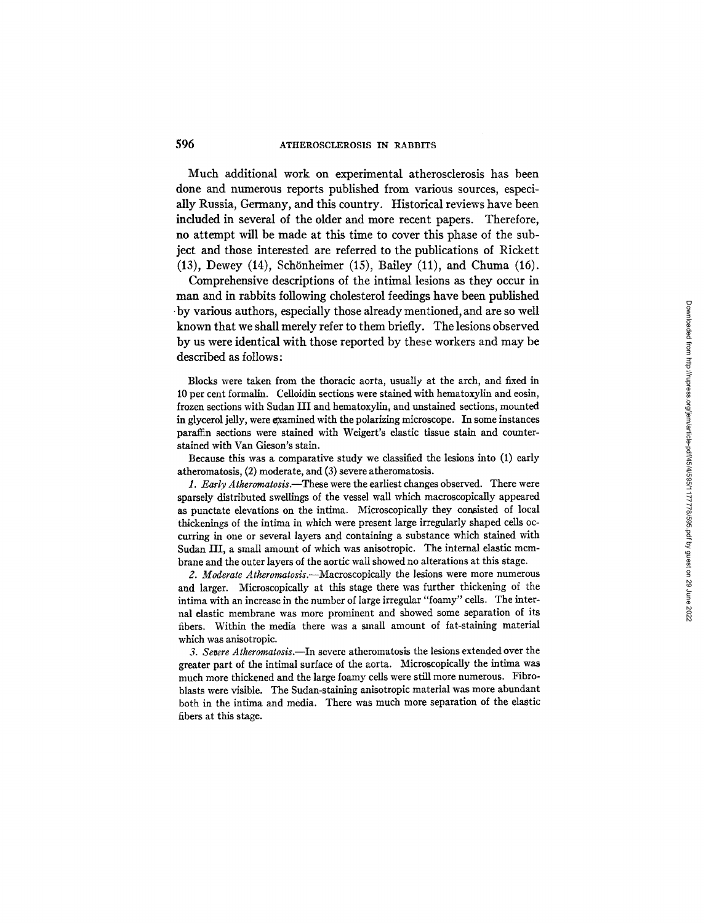## 596 ATHEROSCLEROSIS IN RABBITS

Much additional work on experimental atherosclerosis has been done and numerous reports published from various sources, especially Russia, Germany, and this country. Historical reviews have been included in several of the older and more recent papers. Therefore, no attempt will be made at this time to cover this phase of the subject and those interested are referred to the publications of Rickett  $(13)$ , Dewey  $(14)$ , Schönheimer  $(15)$ , Bailey  $(11)$ , and Chuma  $(16)$ .

Comprehensive descriptions of the intimal lesions as they occur in man and in rabbits following cholesterol feedings have been published • by various authors, especially those already mentioned, and are so well known that we shall merely refer to them briefly. The lesions observed by us were identical with those reported by these workers and may be described as follows:

Blocks were taken from the thoracic aorta, usually at the arch, and fixed in 10 per cent formalin. Celloidin sections were stained with hematoxylin and eosin, frozen sections with Sudan III and hematoxylin, and unstained sections, mounted in glycerol jelly, were examined with the polarizing microscope. In some instances paraffin sections were stained with Weigert's elastic tissue stain and counterstained with Van Gieson's stain.

Because this was a comparative study we classified the lesions into (1) early atheromatosis, (2) moderate, and (3) severe atheromatosis.

*1. Early Atheromatosis.--These* were the earliest changes observed. There were sparsely distributed swellings of the vessel waU which macroscopically appeared as punctate elevations on the intima. Microscopically they consisted of local thickenings of the intima in which were present large irregularly shaped cells occurring in one or several layers and containing a substance which stained with Sudan III, a small amount of which was anisotropic. The internal elastic membrane and the outer layers of the aortic wall showed no alterations at this stage.

*2. Moderate Atheromatosis.--Macroscopically the* lesions were more numerous and larger. Microscopically at this stage there was further thickening of the intima with an increase in the number of large irregular "foamy" cells. The internal elastic membrane was more prominent and showed some separation of its fibers. Within the media there was a small amount of fat-staining material which was anisotropic.

*3. Severe Atheromatosis.--In* severe atheromatosis the lesions extended over the greater part of the intimal surface of the aorta. Microscopically the intima was much more thickened and the large foamy ceils were still more numerous. Fibroblasts were visible. The Sudan-staining anisotropic material was more abundant both in the intima and media. There was much more separation of the elastic fibers at this stage.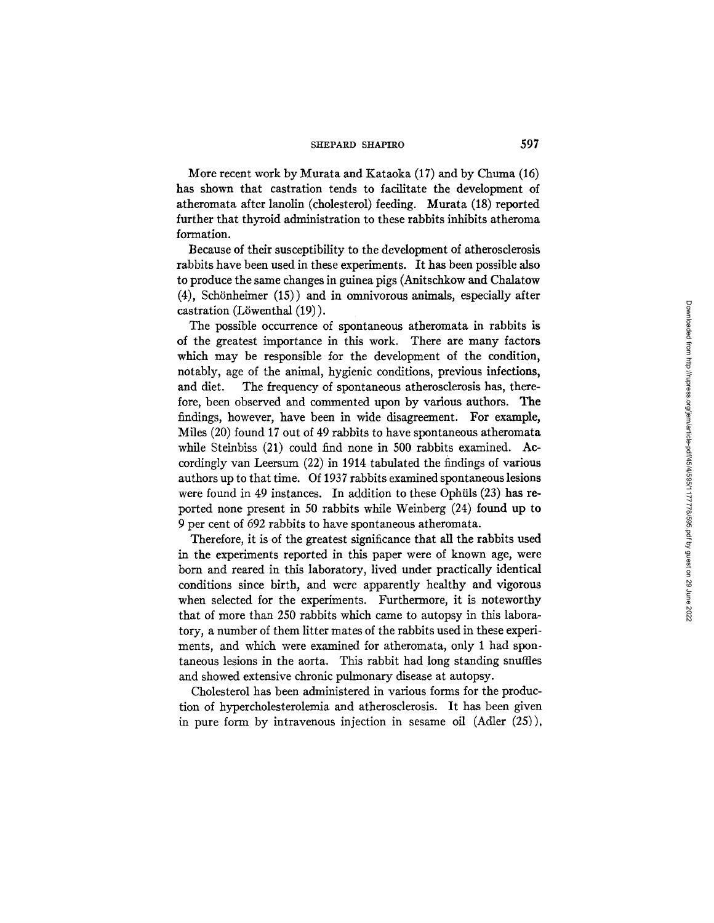More recent work by Murata and Kataoka (17) and by Chuma (16) has shown that castration tends to facilitate the development of atheromata after lanolin (cholesterol) feeding. Murata (18) reported further that thyroid administration to these rabbits inhibits atheroma formation.

Because of their susceptibility to the development of atherosclerosis rabbits have been used in these experiments. It has been possible also to produce the same changes in guinea pigs (Anitschkow and Chalatow  $(4)$ , Schönheimer  $(15)$ ) and in omnivorous animals, especially after castration (L6wenthal (19)).

The possible occurrence of spontaneous atheromata in rabbits is of the greatest importance in this work. There are many factors which may be responsible for the development of the condition, notably, age of the animal, hygienic conditions, previous infections, and diet. The frequency of spontaneous atherosclerosis has, therefore, been observed and commented upon by various authors. The findings, however, have been in wide disagreement. For example, Miles (20) found 17 out of 49 rabbits to have spontaneous atheromata while Steinbiss (21) could find none in 500 rabbits examined. Accordingly van Leersum (22) in 1914 tabulated the findings of various authors up to that time. Of 1937 rabbits examined spontaneous lesions were found in 49 instances. In addition to these Ophiils (23) has reported none present in 50 rabbits while Weinberg (24) found up to 9 per cent of 692 rabbits to have spontaneous atheromata.

Therefore, it is of the greatest significance that all the rabbits used in the experiments reported in this paper were of known age, were born and reared in this laboratory, lived under practically identical conditions since birth, and were apparently healthy and vigorous when selected for the experiments. Furthermore, it is noteworthy that of more than 250 rabbits which came to autopsy in this laboratory, a number of them litter mates of the rabbits used in these experiments, and which were examined for atheromata, only 1 had spontaneous lesions in the aorta. This rabbit had long standing snuffles and showed extensive chronic pulmonary disease at autopsy.

Cholesterol has been administered in various forms for the production of hypercholesterolemia and atherosclerosis. It has been given in pure form by intravenous injection in sesame oil (Adler (25)),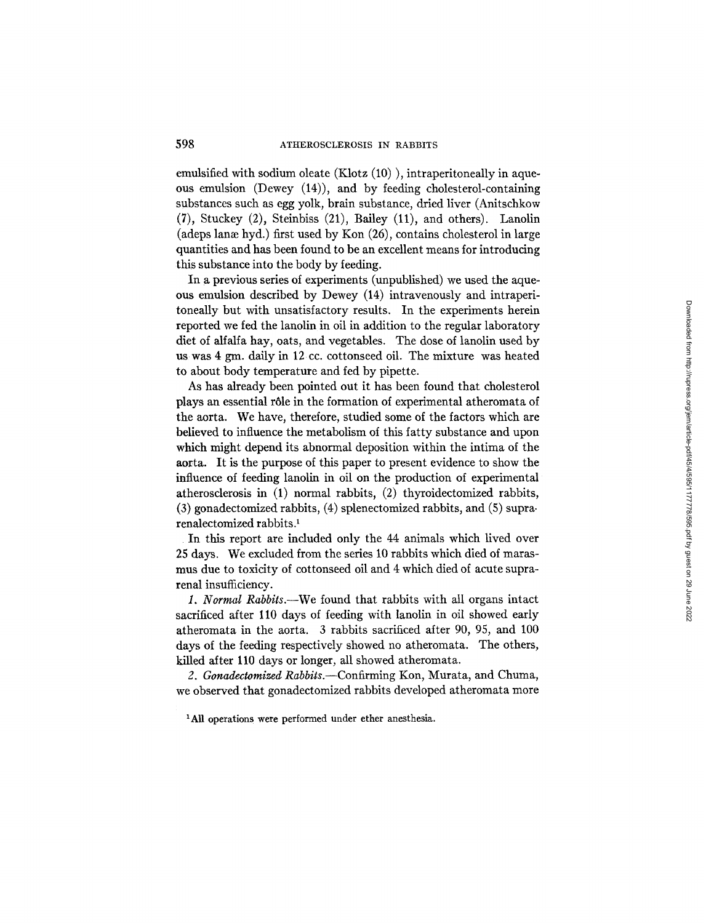emulsified with sodium oleate (Klotz (10)), intraperitoneally in aqueous emulsion (Dewey (14)), and by feeding cholesterol-containing substances such as egg yolk, brain substance, dried liver (Anitschkow (7), Stuckey (2), Steinbiss (21), Bailey (11), and others). Lanolin (adeps lange hyd.) first used by Kon  $(26)$ , contains cholesterol in large quantities and has been found to be an excellent means for introducing this substance into the body by feeding.

In a previous series of experiments (unpublished) we used the aqueous emulsion described by Dewey (14) intravenously and intraperitoneally but with unsatisfactory results. In the experiments herein reported we fed the lanolin in oil in addition to the regular laboratory diet of alfalfa hay, oats, and vegetables. The dose of lanolin used by us was 4 gm. daily in 12 cc. cottonseed oil. The mixture was heated to about body temperature and fed by pipette.

As has already been pointed out it has been found that cholesterol plays an essential r61e in the formation of experimental atheromata of the aorta. We have, therefore, studied some of the factors which are believed to influence the metabolism of this fatty substance and upon which might depend its abnormal deposition within the intima of the aorta. It is the purpose of this paper to present evidence to show the influence of feeding lanolin in oil on the production of experimental atherosclerosis in (1) normal rabbits, (2) thyroidectomized rabbits, (3) gonadectomized rabbits, (4) splenectomized rabbits, and (5) suprarenalectomized rabbits.<sup>1</sup>

In this report are included only the 44 animals which lived over 25 days. We excluded from the series 10 rabbits which died of marasmus due to toxicity of cottonseed oil and 4 which died of acute suprarenal insufficiency.

*1. Normal Rabbits.--We* found that rabbits with all organs intact sacrificed after 110 days of feeding with lanolin in oil showed early atheromata in the aorta. 3 rabbits sacrificed after 90, 95, and 100 days of the feeding respectively showed no atheromata. The others, killed after 110 days or longer, all showed atheromata.

*2. Gonadectomized Rabbits.--Confirming* Kon, Murata, and Chuma, we observed that gonadectomized rabbits developed atheromata more

<sup>1</sup>All operations were performed under ether anesthesia.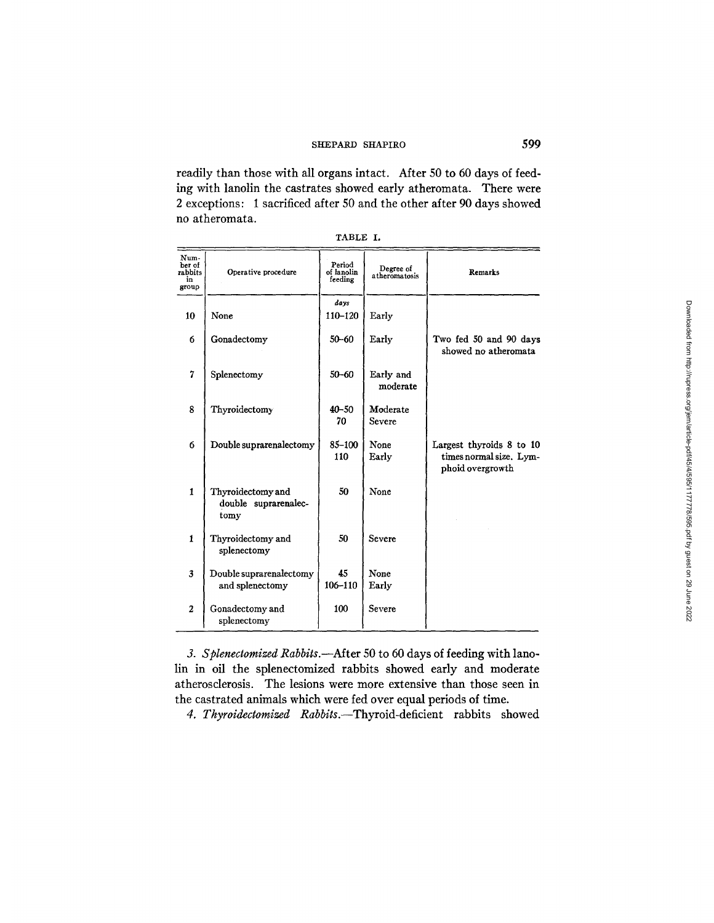readily than those with all organs intact. Mter 50 to 60 days of feeding with lanolin the castrates showed early atheromata. There were 2 exceptions: 1 sacrificed after 50 and the other after 90 days showed no atheromata.

| TABLE |  |
|-------|--|
|-------|--|

| Num-<br>ber of<br>rabbits<br>in<br>group | Operative procedure                               | Period<br>of lanolin<br>feeding | Degree of<br>atheromatosis | Remarks                                                                 |  |
|------------------------------------------|---------------------------------------------------|---------------------------------|----------------------------|-------------------------------------------------------------------------|--|
|                                          |                                                   | days                            |                            |                                                                         |  |
| 10                                       | None                                              | 110-120                         | Early                      |                                                                         |  |
| 6                                        | Gonadectomy                                       | $50 - 60$                       | Early                      | Two fed 50 and 90 days<br>showed no atheromata                          |  |
| $\overline{7}$                           | Splenectomy                                       | $50 - 60$                       | Early and<br>moderate      |                                                                         |  |
| 8                                        | Thyroidectomy                                     | $40 - 50$<br>70                 | Moderate<br>Severe         |                                                                         |  |
| 6                                        | Double suprarenalectomy                           | $85 - 100$<br>110               | None<br>Early              | Largest thyroids 8 to 10<br>times normal size. Lym-<br>phoid overgrowth |  |
| $\mathbf{1}$                             | Thyroidectomy and<br>double suprarenalec-<br>tomy | 50                              | None                       |                                                                         |  |
| 1                                        | Thyroidectomy and<br>splenectomy                  | 50                              | Severe                     |                                                                         |  |
| $\overline{\mathbf{3}}$                  | Double suprarenalectomy<br>and splenectomy        | 45<br>106-110                   | None<br>Early              |                                                                         |  |
| $\overline{2}$                           | Gonadectomy and<br>splenectomy                    | 100                             | Severe                     |                                                                         |  |

*3. Splenectomized Rabbits.--Mter* 50 to 60 days of feeding with lanolin in oil the splenectomized rabbits showed early and moderate atherosclerosis. The lesions were more extensive than those seen in the castrated animals which were fed over equal periods of time.

*4. Thyroidectomized Rabbits.--Thyroid-deficient* rabbits showed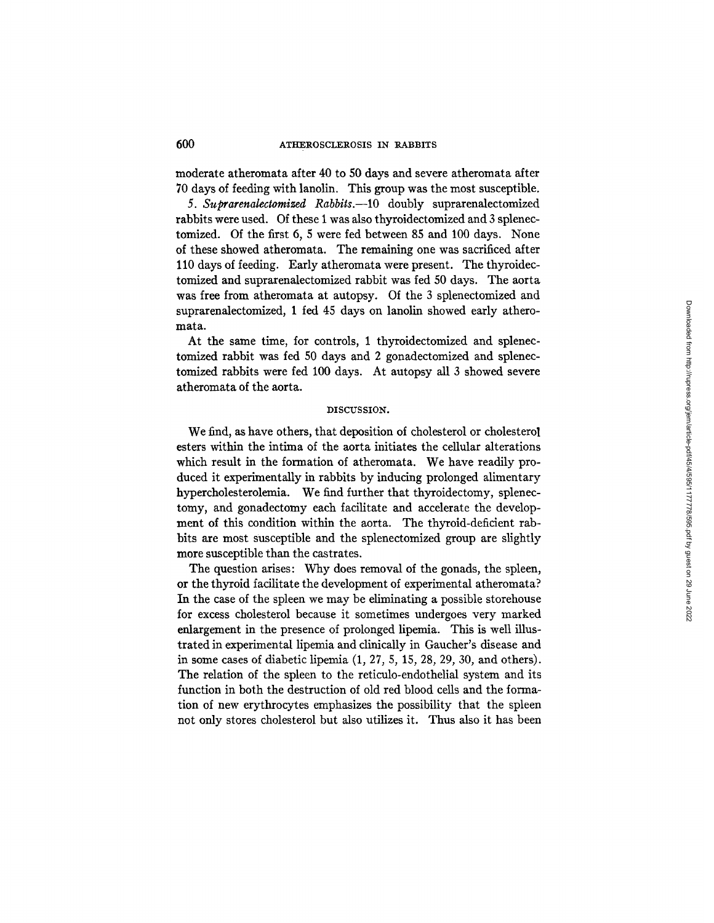moderate atheromata after 40 to 50 days and severe atheromata after 70 days of feeding with lanolin. This group was the most susceptible.

*5. Suprarenalectomized Rabbits.--lO* doubly suprarenalectomized rabbits were used. Of these 1 was also thyroidectomized and 3 splenectomized. Of the first 6, 5 were fed between 85 and 100 days. None of these showed atheromata. The remaining one was sacrificed after 110 days of feeding. Early atheromata were present. The thyroidectomized and suprarenalectomized rabbit was fed 50 days. The aorta was free from atheromata at autopsy. Of the 3 splenectomized and suprarenalectomized, 1 fed 45 days on lanolin showed early atheromata.

At the same time, for controls, 1 thyroidectomized and splenectomized rabbit was fed 50 days and 2 gonadectomized and splenectomized rabbits were fed 100 days. At autopsy all 3 showed severe atheromata of the aorta.

#### DISCUSSION.

We find, as have others, that deposition of cholesterol or cholesterol esters within the intima of the aorta initiates the cellular alterations which result in the formation of atheromata. We have readily produced it experimentally in rabbits by inducing prolonged alimentary hypercholesterolemia. We find further that thyroidectomy, splenectomy, and gonadectomy each facilitate and accelerate the development of this condition within the aorta. The thyroid-deficient rabbits are most susceptible and the splenectomized group are slightly more susceptible than the castrates.

The question arises: Why does removal of the gonads, the spleen, or the thyroid facilitate the development of experimental atheromata? In the case of the spleen we may be eliminating a possible storehouse for excess cholesterol because it sometimes undergoes very marked enlargement in the presence of prolonged lipemia. This is well illustrated in experimental lipemia and clinically in Gaucher's disease and in some cases of diabetic lipemia (1, 27, 5, 15, 28, 29, 30, and others). The relation of the spleen to the reticulo-endothelial system and its function in both the destruction of old red blood ceils and the formation of new erythrocytes emphasizes the possibility that the spleen not only stores cholesterol but also utilizes it. Thus also it has been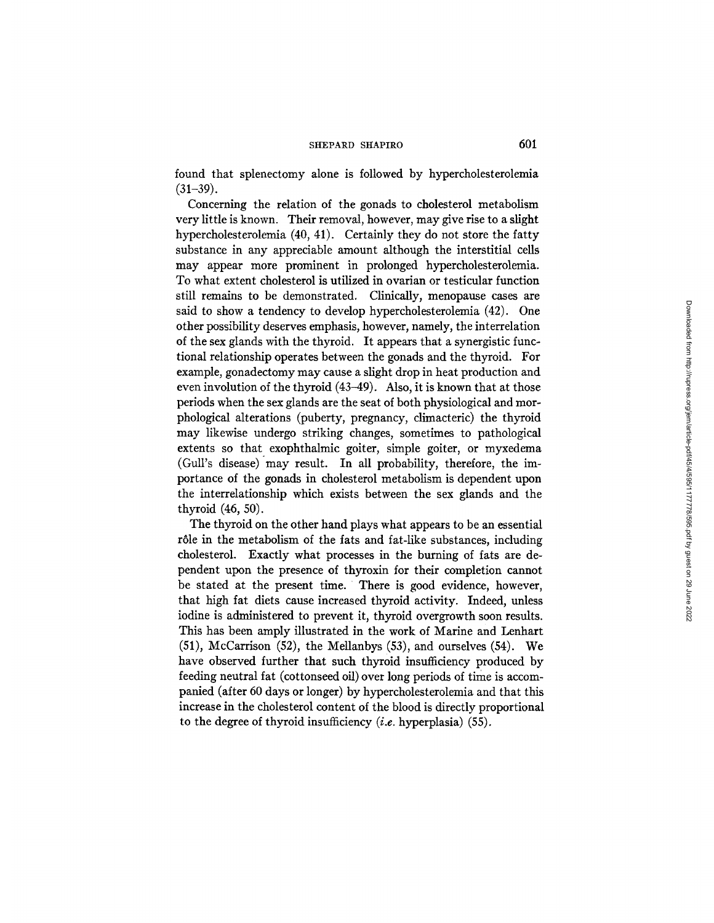found that splenectomy alone is followed by hypercholesterolemia  $(31-39)$ .

Concerning the relation of the gonads to cholesterol metabolism very little is known. Their removal, however, may give rise to a slight hypercholesterolemia (40, 41). Certainly they do not store the fatty substance in any appreciable amount although the interstitial cells may appear more prominent in prolonged hypercholesterolemia. To what extent cholesterol is utilized in ovarian or testicular function still remains to be demonstrated. Clinically, menopause cases are said to show a tendency to develop hypercholesterolemia (42). One other possibility deserves emphasis, however, namely, the interrelation of the sex glands with the thyroid. It appears that a synergistic functional relationship operates between the gonads and the thyroid. For example, gonadectomy may cause a slight drop in heat production and even involution of the thyroid (43-49). Also, it is known that at those periods when the sex glands are the seat of both physiological and morphological alterations (puberty, pregnancy, climacteric) the thyroid may likewise undergo striking changes, sometimes to pathological extents so that exophthalmic goiter, simple goiter, or myxedema (Gull's disease) may result. In all probability, therefore, the importance of the gonads in cholesterol metabolism is dependent upon the interrelationship which exists between the sex glands and the thyroid (46, 50).

The thyroid on the other hand plays what appears to be an essential rôle in the metabolism of the fats and fat-like substances, including cholesterol. Exactly what processes in the burning of fats are dependent upon the presence of thyroxin for their completion cannot be stated at the present time. There is good evidence, however, that high fat diets cause increased thyroid activity. Indeed, unless iodine is administered to prevent it, thyroid overgrowth soon results. This has been amply illustrated in the work of Marine and Lenhart (51), McCarrison (52), the Mellanbys (53), and ourselves (54). We have observed further that such thyroid insufficiency produced by feeding neutral fat (cottonseed oil) over long periods of time is accompanied (after 60 days or longer) by hypercholesterolemia and that this increase in the cholesterol content of the blood is directly proportional to the degree of thyroid insufficiency  $(i.e.$  hyperplasia) (55).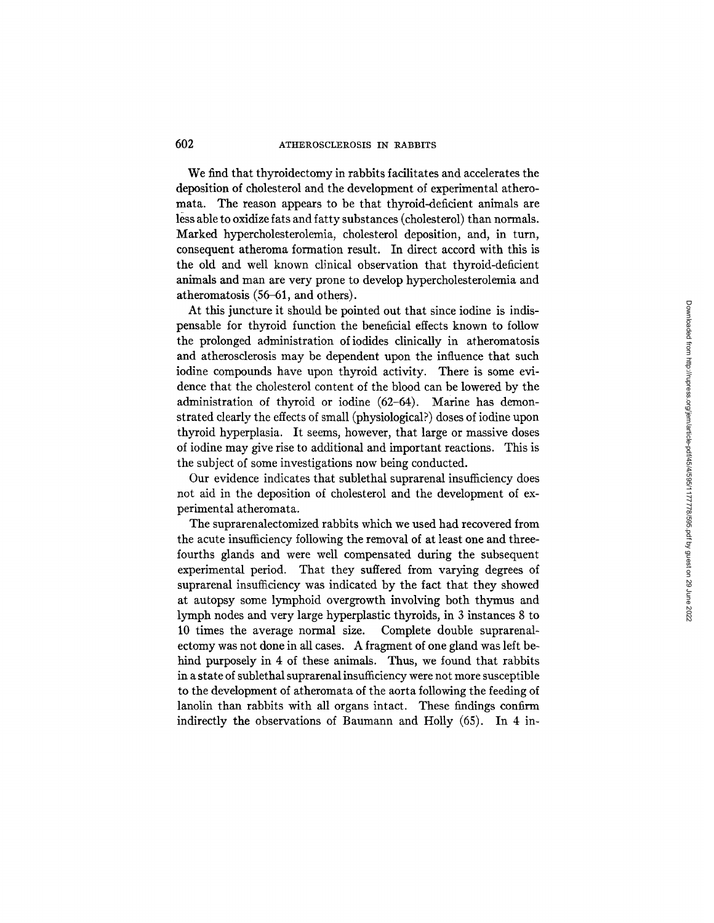## 602 ATHEROSCLEROSIS IN RABBITS

We find that thyroidectomy in rabbits facilitates and accelerates the deposition of cholesterol and the development of experimental atheromata. The reason appears to be that thyroid-deficient animals are less able to oxidize fats and fatty substances (cholesterol) than normals. Marked hypercholesterolemia, cholesterol deposition, and, in turn, consequent atheroma formation result. In direct accord with this is the old and well known clinical observation that thyroid-deficient animals and man are very prone to develop hypercholesterolemia and atheromatosis (56-61, and others).

At this juncture it should be pointed out that since iodine is indispensable for thyroid function the beneficial effects known to follow the prolonged administration of iodides clinically in atheromatosis and atherosclerosis may be dependent upon the influence that such iodine compounds have upon thyroid activity. There is some evidence that the cholesterol content of the blood can be lowered by the administration of thyroid or iodine (62-64). Marine has demonstrated clearly the effects of small (physiological?) doses of iodine upon thyroid hyperplasia. It seems, however, that large or massive doses of iodine may give rise to additional and important reactions. This is the subject of some investigations now being conducted.

Our evidence indicates that sublethal suprarenal insufficiency does not aid in the deposition of cholesterol and the development of experimental atheromata.

The suprarenalectomized rabbits which we used had recovered from the acute insufficiency following the removal of at least one and threefourths glands and were well compensated during the subsequent experimental period. That they suffered from varying degrees of suprarenal insufficiency was indicated by the fact that they showed at autopsy some lymphoid overgrowth involving both thymus and lymph nodes and very large hyperplastic thyroids, in 3 instances 8 to 10 times the average normal size. Complete double suprarenalectomy was not done in all cases. A fragment of one gland was left behind purposely in 4 of these animals. Thus, we found that rabbits in a state of sublethal suprarenalinsufficiency were not more susceptible to the development of atheromata of the aorta following the feeding of lanolin than rabbits with all organs intact. These findings confirm indirectly the observations of Baumann and Holly (65). In 4 in-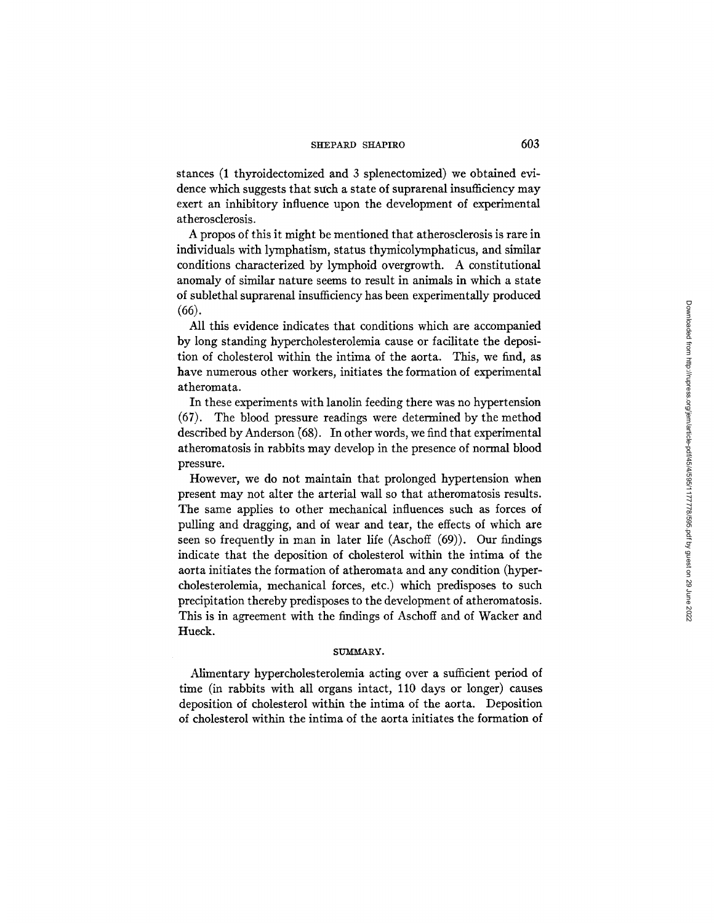stances (1 thyroidectomized and 3 splenectomized) we obtained evidence which suggests that such a state of suprarenal insufficiency may exert an inhibitory influence upon the development of experimental atherosclerosis.

Apropos of this it might be mentioned that atherosclerosis is rare in individuals with lymphatism, status thymicolymphaticus, and similar conditions characterized by lymphoid overgrowth. A constitutional anomaly of similar nature seems to result in animals in which a state of sublethal suprarenal insufficiency has been experimentally produced (66).

All this evidence indicates that conditions which are accompanied by long standing hypercholesterolemia cause or facilitate the deposition of cholesterol within the intima of the aorta. This, we find, as have numerous other workers, initiates the formation of experimental atheromata.

In these experiments with lanolin feeding there was no hypertension (67). The blood pressure readings were determined by the method described by Anderson (68). In other words, we find that experimental atheromatosis in rabbits may develop in the presence of normal blood pressure.

However, we do not maintain that prolonged hypertension when present may not alter the arterial wall so that atheromatosis results. The same applies to other mechanical influences such as forces of pulling and dragging, and of wear and tear, the effects of which are seen so frequently in man in later life (Aschoff (69)). Our findings indicate that the deposition of cholesterol within the intima of the aorta initiates the formation of atheromata and any condition (hypercholesterolemia, mechanical forces, etc.) which predisposes to such precipitation thereby predisposes to the development of atheromatosis. This is in agreement with the findings of Aschoff and of Wacker and Hueck.

#### SUMMARY.

Alimentary hypercholesterolemia acting over a sufficient period of time (in rabbits with all organs intact, 110 days or longer) causes deposition of cholesterol within the intima of the aorta. Deposition of cholesterol within the intima of the aorta initiates the formation of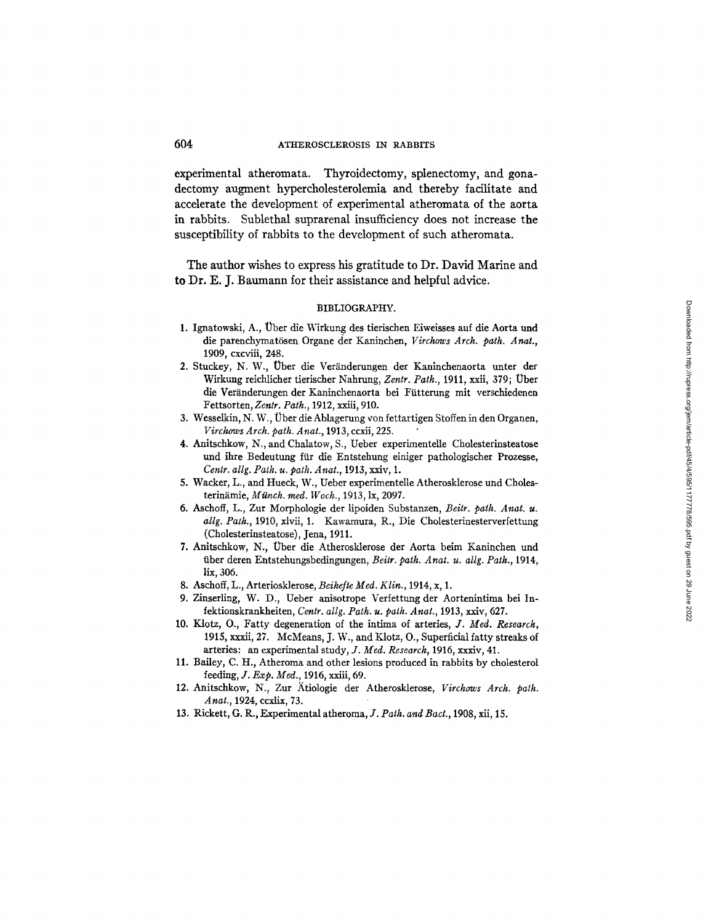experimental atheromata. Thyroidectomy, splenectomy, and gonadectomy augment hypercholesterolemia and thereby facilitate and accelerate the development of experimental atheromata of the aorta in rabbits. Sublethal suprarenal insufficiency does not increase the susceptibility of rabbits to the development of such atheromata.

The author wishes to express his gratitude to Dr. David Marine and to Dr. E. J. Baumann for their assistance and helpful advice.

#### BIBLIOGRAPHY.

- 1. Ignatowski, A., Über die Wirkung des tierischen Eiweisses auf die Aorta und die parenchymatösen Organe der Kaninchen, Virchows Arch. path. Anat., 1909, cxcviii, 248.
- 2. Stuckey, N. W., Über die Veränderungen der Kaninchenaorta unter der Wirkung reichlicher tierischer Nahrung, Zentr. Path., 1911, xxii, 379; Über die Veränderungen der Kaninchenaorta bei Fütterung mit verschiedenen Fettsorten, Zentr. Path., 1912, xxiii, 910.
- 3. Wesselkin, N. W., Über die Ablagerung von fettartigen Stoffen in den Organen, Virchows Arch. path. Anat., 1913, ccxii, 225.
- 4. Anitschkow, N., and Chalatow, S., Ueber experimentelle Cholesterinsteatose und ihre Bedeutung für die Entstehung einiger pathologischer Prozesse, Centr. allg. Path. u. path. Anat., 1913, xxiv, 1.
- 5. Wacker, L., and Hueck, W., Ueber experimentelle Atherosklerose und Cholesterinämie, Münch. med. Woch., 1913, lx, 2097.
- 6. Aschoff, L., Zur Morphologie der lipoiden Substanzen, Beitr. path. Anat. u. allg. Path., 1910, xlvii, 1. Kawamura, R., Die Cholesterinesterverfettung (Cholesterinsteatose), Jena, 1911.
- 7. Anitschkow, N., Über die Atherosklerose der Aorta beim Kaninchen und über deren Entstehungsbedingungen, Beitr. path. Anat. u. allg. Path., 1914, lix, 306.
- 8. Aschoff, L., Arteriosklerose, Beihefte Med. Klin., 1914, x, 1.
- 9. Zinserling, W. D., Ueber anisotrope Verfettung der Aortenintima bei Infektionskrankheiten, Centr. allg. Path. u. path. Anat., 1913, xxiv, 627.
- 10. Klotz, O., Fatty degeneration of the intima of arteries, J. Med. Research, 1915, xxxii, 27. McMeans, J. W., and Klotz, O., Superficial fatty streaks of arteries: an experimental study, J. Med. Research, 1916, xxxiv, 41.
- 11. Bailey, C. H., Atheroma and other lesions produced in rabbits by cholesterol feeding,  $J. Exp. Med., 1916$ , xxiii, 69.
- 12. Anitschkow, N., Zur Ätiologie der Atherosklerose, Virchows Arch. path. Anat., 1924, ccxlix, 73.
- 13. Rickett, G. R., Experimental atheroma, J. Path. and Bact., 1908, xii, 15.

### 604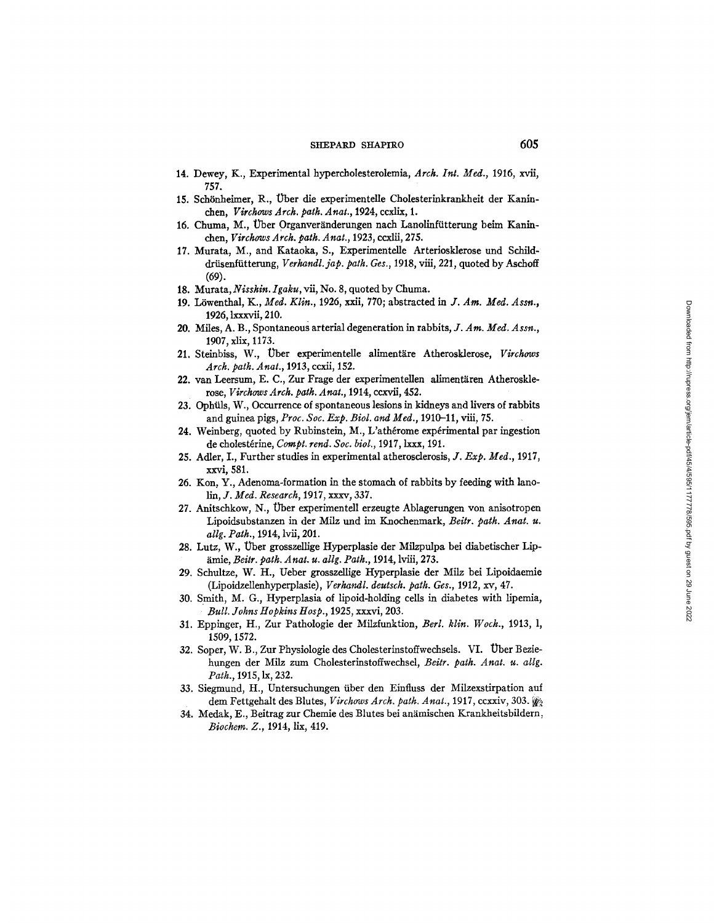- 14. Dewey, K., Experimental hypercholesterolemia, Arch. Int. Med., 1916, xvii, 757.
- 15. Schönheimer, R., Über die experimentelle Cholesterinkrankheit der Kaninchen, Virchows Arch. path. Anat., 1924, ccxlix, 1.
- 16. Chuma, M., Über Organveränderungen nach Lanolinfütterung beim Kaninchen. Virchows Arch. path. Anat., 1923, ccxlii, 275.
- 17. Murata, M., and Kataoka, S., Experimentelle Arteriosklerose und Schilddrüsenfütterung, Verhandl. jap. path. Ges., 1918, viii, 221, quoted by Aschoff  $(69).$
- 18. Murata, Nisshin. Igaku, vii, No. 8, quoted by Chuma.
- 19. Löwenthal, K., Med. Klin., 1926, xxii, 770; abstracted in J. Am. Med. Assn., 1926, lxxxvii, 210.
- 20. Miles, A. B., Spontaneous arterial degeneration in rabbits, J. Am. Med. Assn., 1907, xlix, 1173.
- 21. Steinbiss, W., Über experimentelle alimentäre Atherosklerose, Virchows Arch. path. Anat., 1913, ccxii, 152.
- 22. van Leersum, E. C., Zur Frage der experimentellen alimentären Atherosklerose, Virchows Arch. path. Anat., 1914, ccxvii, 452.
- 23. Ophüls, W., Occurrence of spontaneous lesions in kidneys and livers of rabbits and guinea pigs, Proc. Soc. Exp. Biol. and Med., 1910-11, viii, 75.
- 24. Weinberg, quoted by Rubinstein, M., L'athérome expérimental par ingestion de cholestérine, Compt. rend. Soc. biol., 1917, lxxx, 191.
- 25. Adler, I., Further studies in experimental atherosclerosis, J. Exp. Med., 1917, xxvi, 581.
- 26. Kon, Y., Adenoma-formation in the stomach of rabbits by feeding with lanolin, J. Med. Research, 1917, xxxv, 337.
- 27. Anitschkow, N., Über experimentell erzeugte Ablagerungen von anisotropen Lipoidsubstanzen in der Milz und im Knochenmark, Beitr. path. Anat. u. allg. Path., 1914, lvii, 201.
- 28. Lutz, W., Über grosszellige Hyperplasie der Milzpulpa bei diabetischer Lipämie, Beitr. path. Anat. u. allg. Path., 1914, lviii, 273.
- 29. Schultze, W. H., Ueber grosszellige Hyperplasie der Milz bei Lipoidaemie (Lipoidzellenhyperplasie), Verhandl. deutsch. path. Ges., 1912, xv, 47.
- 30. Smith, M. G., Hyperplasia of lipoid-holding cells in diabetes with lipemia, Bull. Johns Hopkins Hosp., 1925, xxxvi, 203.
- 31. Eppinger, H., Zur Pathologie der Milzfunktion, Berl. klin. Woch., 1913, l, 1509, 1572.
- 32. Soper, W. B., Zur Physiologie des Cholesterinstoffwechsels. VI. Über Beziehungen der Milz zum Cholesterinstoffwechsel, Beitr. path. Anat. u. allg. Path., 1915, lx, 232.
- 33. Siegmund, H., Untersuchungen über den Einfluss der Milzexstirpation auf dem Fettgehalt des Blutes, Virchows Arch. path. Anat., 1917, ccxxiv, 303.
- 34. Medak, E., Beitrag zur Chemie des Blutes bei anämischen Krankheitsbildern, Biochem. Z., 1914, lix, 419.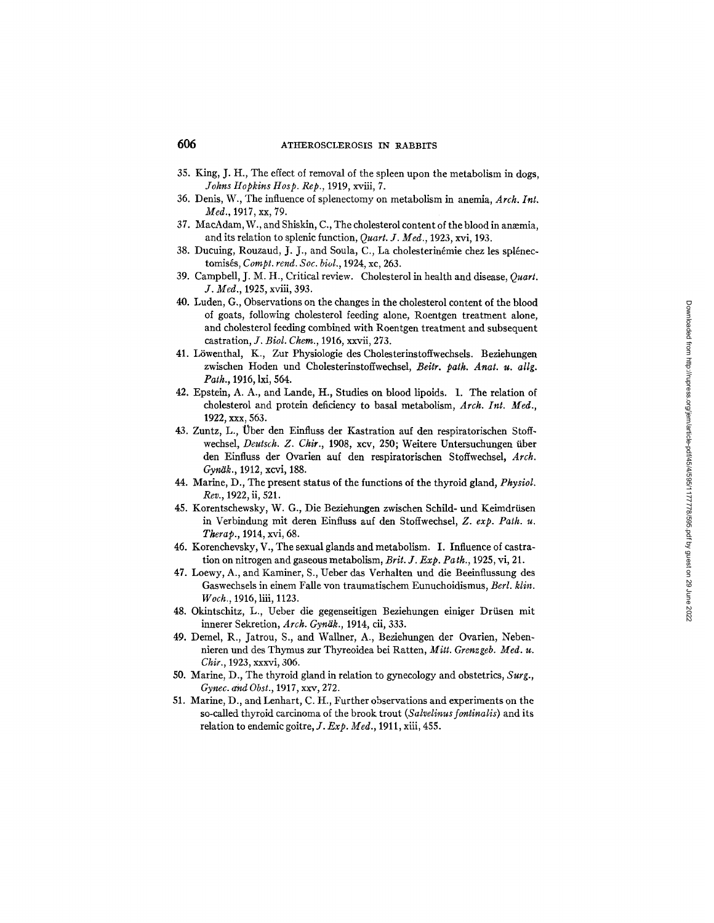- 35. King, J. H., The effect of removal of the spleen upon the metabolism in dogs, *Johns Hopkins Hosp. Rep.,* 1919, xviii, 7.
- 36. Denis, W., The influence of splenectomy on metabolism in anemia, *Arch. Int. Med.,* 1917, xx, 79.
- 37. MacAdam, W., and Shiskin, C., The cholesterol content of the blood in anæmia, and its relation to splenic function, *Quart. J. Med.,* 1923, xvi, 193.
- 38. Ducuing, Rouzaud, J. J., and Soula, C., La cholesterinémie chez les splénectomisés, *Compt. rend. Soc. biol.*, 1924, xc, 263.
- 39. Campbell, J. M. H., Critical review. Cholesterol in health and disease, *Quart. J. Med.,* 1925, xviii, 393.
- 40. Luden, G., Observations on the changes in the cholesterol content of the blood of goats, following cholesterol feeding alone, Roentgen treatment alone, and cholesterol feeding combined with Roentgen treatment and subsequent castration, *J. Biol. Chem.,* 1916, xxvii, 273.
- 41. Löwenthal, K., Zur Physiologie des Cholesterinstoffwechsels. Beziehungen zwischen Hoden und Cholesterinstoffwechsel, *Beitr. path. Anat. u. allg. Path.,* 1916, lxi, 564.
- 42. Epstein, A. A., and Lande, H., Studies on blood lipoids. 1. The relation of cholesterol and protein deficiency to basal metabolism, *Arch. Int. Med.,*  1922, xxx, 563.
- 43. Zuntz, L., Über den Einfluss der Kastration auf den respiratorischen Stoffwechsel, *Deutsch. Z. Chit.,* 1908, xcv, 250; Weitere Untersuchungen fiber den Einfluss der Ovarien auf den respiratorischen Stoffwechsel, *Arch. Gynak.,* 1912, xcvi, 188.
- 44. Marine, D., The present status of the functions of the thyroid gland, *Physiol. Rev.,* 1922, ii, 521.
- 45. Korentschewsky, W. G., Die Beziehungen zwischen Schild- und Keimdrüsen in Verbindung mit deren Einfluss auf den Stoffwechsel, *Z. exp. Path. u. Therap.,* 1914, xvi, 68.
- 46. Korenchevsky, V., The sexual glands and metabolism. I. Influence of castration on nitrogen and gaseous metabolism, *Brit. J. Exp. Path.,* 1925, vi, 21.
- 47. Loewy, A., and Kaminer, S., Ueber das Verhalten und die Beeinflussung des Gaswechsels in einem Falle yon traumatischem Eunuchoidismus, *Berl. klin. Woch.,* 1916, liii, 1123.
- 48. Okintschitz, L., Ueber die gegenseitigen Beziehungen einiger Driisen mit innerer Sekretion, *Arch. Gynäk.*, 1914, cii, 333.
- 49. Demel, R., Jatrou, S., and Wallner, A., Beziehungen der Ovarien, Nebennieren und des Thymus zur Thyreoidea bei Ratten, *Mitt. Grenzgeb. Med. u. Chit.,* 1923, xxxvi, 306.
- 50. Marine, D., The thyroid gland in relation to gynecology and obstetrics, *Surg., Gynec. and Obst.,* 1917, xxv, 272.
- 51. Marine, D., and Lenhart, C. It., Further observations and experiments on the so-called thyroid carcinoma of the brook trout *(Salvelinusfontinalis)* and its relation to endemic goitre, *J. Exp. Med.,* 1911, xiii, 455.